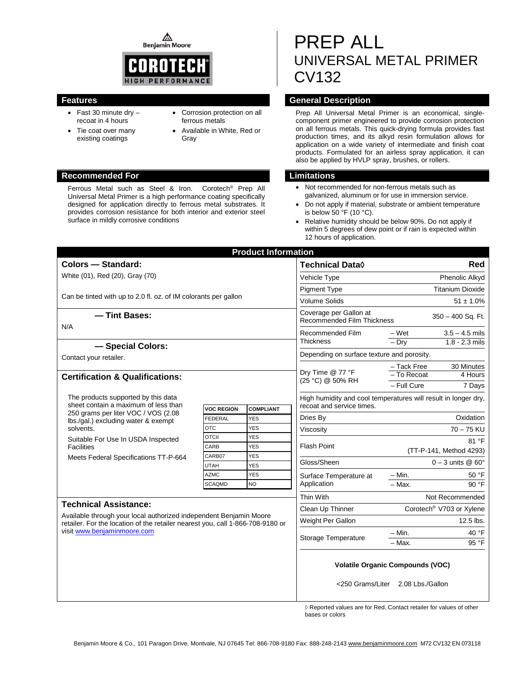⚠ **Benjamin Moore** 



- Fast 30 minute dry recoat in 4 hours
- Tie coat over many existing coatings
- Corrosion protection on all ferrous metals
- Available in White, Red or Gray

#### **Recommended For Limitations**

Ferrous Metal such as Steel & Iron. Corotech® Prep All Universal Metal Primer is a high performance coating specifically designed for application directly to ferrous metal substrates. It provides corrosion resistance for both interior and exterior steel surface in mildly corrosive conditions

# PREP ALL UNIVERSAL METAL PRIMER CV132

### **Features General Description**

Prep All Universal Metal Primer is an economical, singlecomponent primer engineered to provide corrosion protection on all ferrous metals. This quick-drying formula provides fast production times, and its alkyd resin formulation allows for application on a wide variety of intermediate and finish coat products. Formulated for an airless spray application, it can also be applied by HVLP spray, brushes, or rollers.

- Not recommended for non-ferrous metals such as galvanized, aluminum or for use in immersion service.
- Do not apply if material, substrate or ambient temperature is below 50 °F (10 °C).
- Relative humidity should be below 90%. Do not apply if within 5 degrees of dew point or if rain is expected within 12 hours of application.

|                                                                                                                                                                                                                     |                   | <b>Product Information</b> |                                                                                  |                                                                              |                                 |  |
|---------------------------------------------------------------------------------------------------------------------------------------------------------------------------------------------------------------------|-------------------|----------------------------|----------------------------------------------------------------------------------|------------------------------------------------------------------------------|---------------------------------|--|
| <b>Colors - Standard:</b>                                                                                                                                                                                           |                   |                            | Technical Data $\Diamond$                                                        | Red                                                                          |                                 |  |
| White (01), Red (20), Gray (70)                                                                                                                                                                                     |                   |                            | Vehicle Type                                                                     | Phenolic Alkyd                                                               |                                 |  |
|                                                                                                                                                                                                                     |                   |                            | <b>Pigment Type</b>                                                              | <b>Titanium Dioxide</b>                                                      |                                 |  |
| Can be tinted with up to 2.0 fl. oz. of IM colorants per gallon                                                                                                                                                     |                   |                            | <b>Volume Solids</b>                                                             | $51 \pm 1.0\%$                                                               |                                 |  |
| - Tint Bases:                                                                                                                                                                                                       |                   |                            | Coverage per Gallon at<br>350 - 400 Sq. Ft.<br><b>Recommended Film Thickness</b> |                                                                              |                                 |  |
| N/A                                                                                                                                                                                                                 |                   |                            | Recommended Film<br><b>Thickness</b>                                             | – Wet                                                                        | $3.5 - 4.5$ mils                |  |
| - Special Colors:                                                                                                                                                                                                   |                   |                            |                                                                                  | $-$ Dry                                                                      | $1.8 - 2.3$ mils                |  |
| Contact your retailer.                                                                                                                                                                                              |                   |                            | Depending on surface texture and porosity.                                       |                                                                              |                                 |  |
| <b>Certification &amp; Qualifications:</b>                                                                                                                                                                          |                   |                            | Dry Time @ 77 °F<br>(25 °C) @ 50% RH                                             | – Tack Free<br>- To Recoat<br>- Full Cure                                    | 30 Minutes<br>4 Hours<br>7 Days |  |
| The products supported by this data                                                                                                                                                                                 |                   |                            | High humidity and cool temperatures will result in longer dry,                   |                                                                              |                                 |  |
| sheet contain a maximum of less than<br>250 grams per liter VOC / VOS (2.08<br>lbs./gal.) excluding water & exempt<br>solvents.                                                                                     | <b>VOC REGION</b> | <b>COMPLIANT</b>           | recoat and service times.                                                        |                                                                              |                                 |  |
|                                                                                                                                                                                                                     | <b>FEDERAL</b>    | <b>YES</b>                 | Dries By                                                                         | Oxidation                                                                    |                                 |  |
|                                                                                                                                                                                                                     | <b>OTC</b>        | <b>YES</b>                 | Viscosity                                                                        | $70 - 75$ KU                                                                 |                                 |  |
| Suitable For Use In USDA Inspected<br><b>Facilities</b><br>Meets Federal Specifications TT-P-664                                                                                                                    | <b>OTCII</b>      | YES                        | <b>Flash Point</b>                                                               | 81 °F<br>(TT-P-141, Method 4293)                                             |                                 |  |
|                                                                                                                                                                                                                     | CARB<br>CARB07    | <b>YES</b><br>YES          |                                                                                  |                                                                              |                                 |  |
|                                                                                                                                                                                                                     | <b>UTAH</b>       | <b>YES</b>                 | Gloss/Sheen                                                                      | $0 - 3$ units @ 60 $^{\circ}$                                                |                                 |  |
|                                                                                                                                                                                                                     | <b>AZMC</b>       | <b>YES</b>                 | Surface Temperature at                                                           | $- Min.$                                                                     | 50 °F                           |  |
|                                                                                                                                                                                                                     | <b>SCAQMD</b>     | NO.                        | Application                                                                      | $-$ Max.                                                                     | 90 °F                           |  |
|                                                                                                                                                                                                                     | Thin With         | Not Recommended            |                                                                                  |                                                                              |                                 |  |
| <b>Technical Assistance:</b><br>Available through your local authorized independent Benjamin Moore<br>retailer. For the location of the retailer nearest you, call 1-866-708-9180 or<br>visit www.benjaminmoore.com |                   |                            | Clean Up Thinner                                                                 | Corotech <sup>®</sup> V703 or Xylene                                         |                                 |  |
|                                                                                                                                                                                                                     |                   |                            | Weight Per Gallon                                                                |                                                                              | 12.5 lbs.                       |  |
|                                                                                                                                                                                                                     |                   |                            | Storage Temperature                                                              | $-$ Min.                                                                     | 40 °F                           |  |
|                                                                                                                                                                                                                     |                   |                            |                                                                                  | $-$ Max.                                                                     | 95 °F                           |  |
|                                                                                                                                                                                                                     |                   |                            |                                                                                  | <b>Volatile Organic Compounds (VOC)</b><br><250 Grams/Liter 2.08 Lbs./Gallon |                                 |  |

◊ Reported values are for Red. Contact retailer for values of other bases or colors